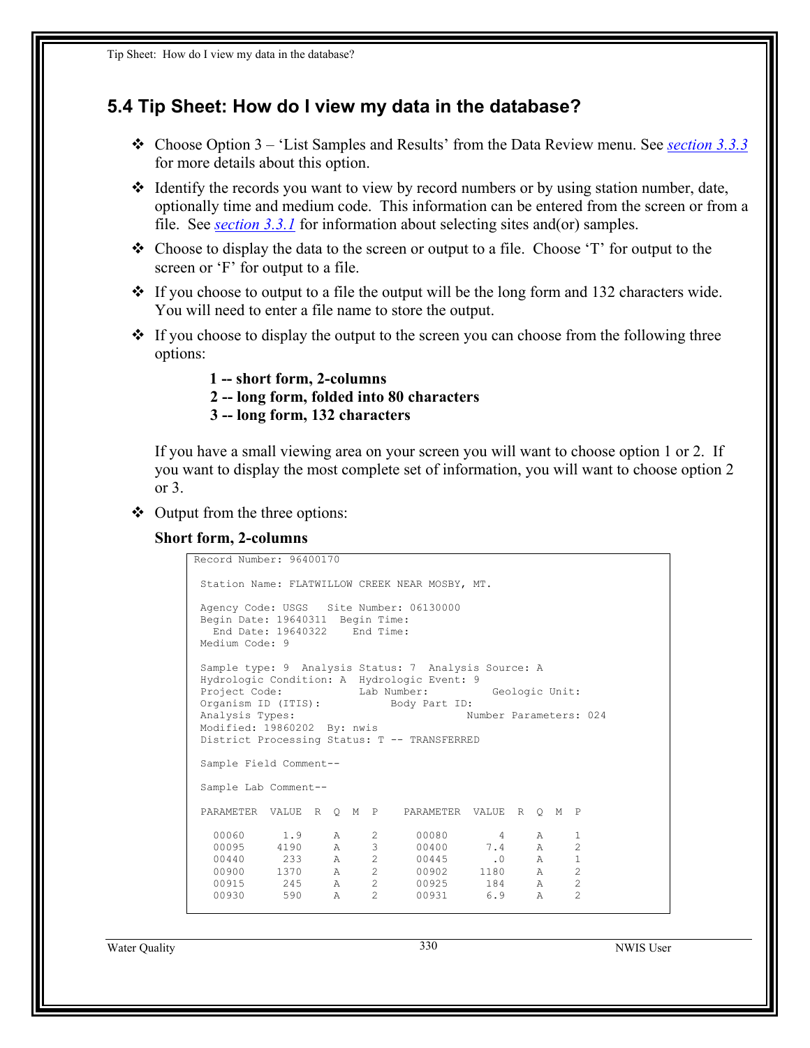## **5.4 Tip Sheet: How do I view my data in the database?**

- Choose Option 3 'List Samples and Results' from the Data Review menu. See *[section 3.3.3](#page-14-0)* for more details about this option.
- Identify the records you want to view by record numbers or by using station number, date, optionally time and medium code. This information can be entered from the screen or from a file. See *section 3.3.1* for information about selecting sites and(or) samples.
- $\div$  Choose to display the data to the screen or output to a file. Choose 'T' for output to the screen or 'F' for output to a file.
- $\div$  If you choose to output to a file the output will be the long form and 132 characters wide. You will need to enter a file name to store the output.
- $\div$  If you choose to display the output to the screen you can choose from the following three options:
	- **1 -- short form, 2-columns**
	- **2 -- long form, folded into 80 characters**
	- **3 -- long form, 132 characters**

If you have a small viewing area on your screen you will want to choose option 1 or 2. If you want to display the most complete set of information, you will want to choose option 2 or 3.

- $\triangleleft$  Output from the three options:
	- **Short form, 2-columns**

```
Record Number: 96400170 
 Station Name: FLATWILLOW CREEK NEAR MOSBY, MT. 
 Agency Code: USGS Site Number: 06130000 
 Begin Date: 19640311 Begin Time: 
  End Date: 19640322 End Time: 
 Medium Code: 9 
 Sample type: 9 Analysis Status: 7 Analysis Source: A 
 Hydrologic Condition: A Hydrologic Event: 9 
Project Code: Lab Number: Geologic Unit:
 Organism ID (ITIS): Body Part ID: 
Analysis Types: Number Parameters: 024
 Modified: 19860202 By: nwis 
 District Processing Status: T -- TRANSFERRED 
 Sample Field Comment-- 
 Sample Lab Comment-- 
 PARAMETER VALUE R Q M P PARAMETER VALUE R Q M P 
 00060 1.9 A 2 00080 4 A 1 
 00095 4190 A 3 00400 7.4 A 2 
 00440 233 A 2 00445 .0 A 1 
 00900 1370 A 2 00902 1180 A 2 
 00915 245 A 2 00925 184 A 2 
 00930 590 A 2 00931 6.9 A 2
```
Water Quality 330 NWIS User